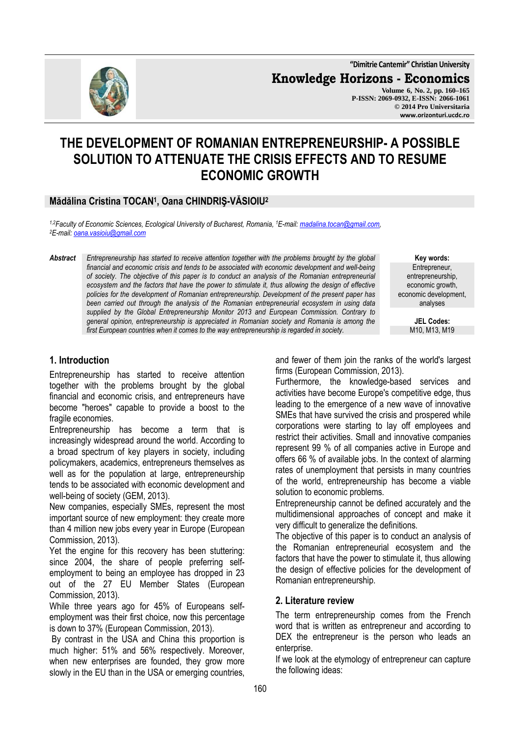**"Dimitrie Cantemir" Christian University**

**Knowledge Horizons - Economics**

**Volume 6, No. 2, pp. 160–165 P-ISSN: 2069-0932, E-ISSN: 2066-1061 © 2014 Pro Universitaria www.orizonturi.ucdc.ro**

# **THE DEVELOPMENT OF ROMANIAN ENTREPRENEURSHIP- A POSSIBLE SOLUTION TO ATTENUATE THE CRISIS EFFECTS AND TO RESUME ECONOMIC GROWTH**

## **Mădălina Cristina TOCAN<sup>1</sup> , Oana CHINDRIŞ-VĂSIOIU<sup>2</sup>**

*1,2Faculty of Economic Sciences, Ecological University of Bucharest, Romania, <sup>1</sup>E-mail: madalina.tocan@gmail.com, <sup>2</sup>E-mail: oana.vasioiu@gmail.com* 

*Abstract Entrepreneurship has started to receive attention together with the problems brought by the global financial and economic crisis and tends to be associated with economic development and well-being of society. The objective of this paper is to conduct an analysis of the Romanian entrepreneurial ecosystem and the factors that have the power to stimulate it, thus allowing the design of effective policies for the development of Romanian entrepreneurship. Development of the present paper has been carried out through the analysis of the Romanian entrepreneurial ecosystem in using data supplied by the Global Entrepreneurship Monitor 2013 and European Commission. Contrary to general opinion, entrepreneurship is appreciated in Romanian society and Romania is among the first European countries when it comes to the way entrepreneurship is regarded in society.* 

**Key words:** Entrepreneur, entrepreneurship, economic growth, economic development, analyses

> **JEL Codes:** M10, M13, M19

## **1. Introduction**

Entrepreneurship has started to receive attention together with the problems brought by the global financial and economic crisis, and entrepreneurs have become "heroes" capable to provide a boost to the fragile economies.

Entrepreneurship has become a term that is increasingly widespread around the world. According to a broad spectrum of key players in society, including policymakers, academics, entrepreneurs themselves as well as for the population at large, entrepreneurship tends to be associated with economic development and well-being of society (GEM, 2013).

New companies, especially SMEs, represent the most important source of new employment: they create more than 4 million new jobs every year in Europe (European Commission, 2013).

Yet the engine for this recovery has been stuttering: since 2004, the share of people preferring selfemployment to being an employee has dropped in 23 out of the 27 EU Member States (European Commission, 2013).

While three years ago for 45% of Europeans selfemployment was their first choice, now this percentage is down to 37% (European Commission, 2013).

 By contrast in the USA and China this proportion is much higher: 51% and 56% respectively. Moreover, when new enterprises are founded, they grow more slowly in the EU than in the USA or emerging countries, and fewer of them join the ranks of the world's largest firms (European Commission, 2013).

Furthermore, the knowledge-based services and activities have become Europe's competitive edge, thus leading to the emergence of a new wave of innovative SMEs that have survived the crisis and prospered while corporations were starting to lay off employees and restrict their activities. Small and innovative companies represent 99 % of all companies active in Europe and offers 66 % of available jobs. In the context of alarming rates of unemployment that persists in many countries of the world, entrepreneurship has become a viable solution to economic problems.

Entrepreneurship cannot be defined accurately and the multidimensional approaches of concept and make it very difficult to generalize the definitions.

The objective of this paper is to conduct an analysis of the Romanian entrepreneurial ecosystem and the factors that have the power to stimulate it, thus allowing the design of effective policies for the development of Romanian entrepreneurship.

## **2. Literature review**

The term entrepreneurship comes from the French word that is written as entrepreneur and according to DEX the entrepreneur is the person who leads an enterprise.

If we look at the etymology of entrepreneur can capture the following ideas:

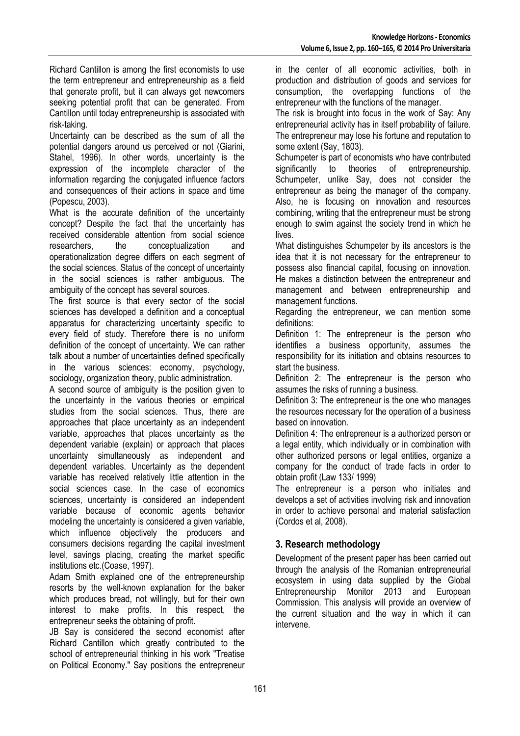Richard Cantillon is among the first economists to use the term entrepreneur and entrepreneurship as a field that generate profit, but it can always get newcomers seeking potential profit that can be generated. From Cantillon until today entrepreneurship is associated with risk-taking.

Uncertainty can be described as the sum of all the potential dangers around us perceived or not (Giarini, Stahel, 1996). In other words, uncertainty is the expression of the incomplete character of the information regarding the conjugated influence factors and consequences of their actions in space and time (Popescu, 2003).

What is the accurate definition of the uncertainty concept? Despite the fact that the uncertainty has received considerable attention from social science researchers, the conceptualization and operationalization degree differs on each segment of the social sciences. Status of the concept of uncertainty in the social sciences is rather ambiguous. The ambiguity of the concept has several sources.

The first source is that every sector of the social sciences has developed a definition and a conceptual apparatus for characterizing uncertainty specific to every field of study. Therefore there is no uniform definition of the concept of uncertainty. We can rather talk about a number of uncertainties defined specifically in the various sciences: economy, psychology, sociology, organization theory, public administration.

A second source of ambiguity is the position given to the uncertainty in the various theories or empirical studies from the social sciences. Thus, there are approaches that place uncertainty as an independent variable, approaches that places uncertainty as the dependent variable (explain) or approach that places uncertainty simultaneously as independent and dependent variables. Uncertainty as the dependent variable has received relatively little attention in the social sciences case. In the case of economics sciences, uncertainty is considered an independent variable because of economic agents behavior modeling the uncertainty is considered a given variable, which influence objectively the producers and consumers decisions regarding the capital investment level, savings placing, creating the market specific institutions etc.(Coase, 1997).

Adam Smith explained one of the entrepreneurship resorts by the well-known explanation for the baker which produces bread, not willingly, but for their own interest to make profits. In this respect, the entrepreneur seeks the obtaining of profit.

JB Say is considered the second economist after Richard Cantillon which greatly contributed to the school of entrepreneurial thinking in his work "Treatise on Political Economy." Say positions the entrepreneur

in the center of all economic activities, both in production and distribution of goods and services for consumption, the overlapping functions of the entrepreneur with the functions of the manager.

The risk is brought into focus in the work of Say: Any entrepreneurial activity has in itself probability of failure. The entrepreneur may lose his fortune and reputation to some extent (Say, 1803).

Schumpeter is part of economists who have contributed significantly to theories of entrepreneurship. Schumpeter, unlike Say, does not consider the entrepreneur as being the manager of the company. Also, he is focusing on innovation and resources combining, writing that the entrepreneur must be strong enough to swim against the society trend in which he lives.

What distinguishes Schumpeter by its ancestors is the idea that it is not necessary for the entrepreneur to possess also financial capital, focusing on innovation. He makes a distinction between the entrepreneur and management and between entrepreneurship and management functions.

Regarding the entrepreneur, we can mention some definitions:

Definition 1: The entrepreneur is the person who identifies a business opportunity, assumes the responsibility for its initiation and obtains resources to start the business.

Definition 2: The entrepreneur is the person who assumes the risks of running a business.

Definition 3: The entrepreneur is the one who manages the resources necessary for the operation of a business based on innovation.

Definition 4: The entrepreneur is a authorized person or a legal entity, which individually or in combination with other authorized persons or legal entities, organize a company for the conduct of trade facts in order to obtain profit (Law 133/ 1999)

The entrepreneur is a person who initiates and develops a set of activities involving risk and innovation in order to achieve personal and material satisfaction (Cordos et al, 2008).

## **3. Research methodology**

Development of the present paper has been carried out through the analysis of the Romanian entrepreneurial ecosystem in using data supplied by the Global Entrepreneurship Monitor 2013 and European Commission. This analysis will provide an overview of the current situation and the way in which it can intervene.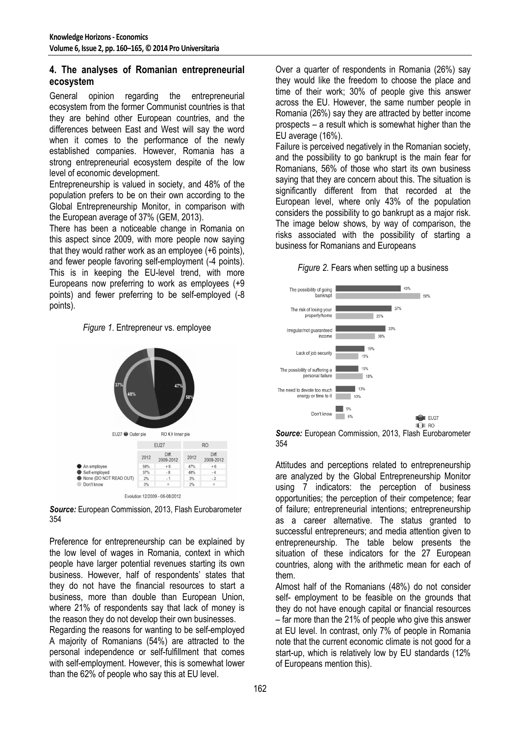## **4. The analyses of Romanian entrepreneurial ecosystem**

General opinion regarding the entrepreneurial ecosystem from the former Communist countries is that they are behind other European countries, and the differences between East and West will say the word when it comes to the performance of the newly established companies. However, Romania has a strong entrepreneurial ecosystem despite of the low level of economic development.

Entrepreneurship is valued in society, and 48% of the population prefers to be on their own according to the Global Entrepreneurship Monitor, in comparison with the European average of 37% (GEM, 2013).

There has been a noticeable change in Romania on this aspect since 2009, with more people now saying that they would rather work as an employee (+6 points), and fewer people favoring self-employment (-4 points). This is in keeping the EU-level trend, with more Europeans now preferring to work as employees (+9 points) and fewer preferring to be self-employed (-8 points).





*Source:* European Commission, 2013, Flash Eurobarometer 354

Preference for entrepreneurship can be explained by the low level of wages in Romania, context in which people have larger potential revenues starting its own business. However, half of respondents' states that they do not have the financial resources to start a business, more than double than European Union, where 21% of respondents say that lack of money is the reason they do not develop their own businesses.

Regarding the reasons for wanting to be self-employed A majority of Romanians (54%) are attracted to the personal independence or self-fulfillment that comes with self-employment. However, this is somewhat lower than the 62% of people who say this at EU level.

Over a quarter of respondents in Romania (26%) say they would like the freedom to choose the place and time of their work; 30% of people give this answer across the EU. However, the same number people in Romania (26%) say they are attracted by better income prospects – a result which is somewhat higher than the EU average (16%).

Failure is perceived negatively in the Romanian society, and the possibility to go bankrupt is the main fear for Romanians, 56% of those who start its own business saying that they are concern about this. The situation is significantly different from that recorded at the European level, where only 43% of the population considers the possibility to go bankrupt as a major risk. The image below shows, by way of comparison, the risks associated with the possibility of starting a business for Romanians and Europeans





*Source:* European Commission, 2013, Flash Eurobarometer 354

Attitudes and perceptions related to entrepreneurship are analyzed by the Global Entrepreneurship Monitor using 7 indicators: the perception of business opportunities; the perception of their competence; fear of failure; entrepreneurial intentions; entrepreneurship as a career alternative. The status granted to successful entrepreneurs; and media attention given to entrepreneurship. The table below presents the situation of these indicators for the 27 European countries, along with the arithmetic mean for each of them.

Almost half of the Romanians (48%) do not consider self- employment to be feasible on the grounds that they do not have enough capital or financial resources – far more than the 21% of people who give this answer at EU level. In contrast, only 7% of people in Romania note that the current economic climate is not good for a start-up, which is relatively low by EU standards (12% of Europeans mention this).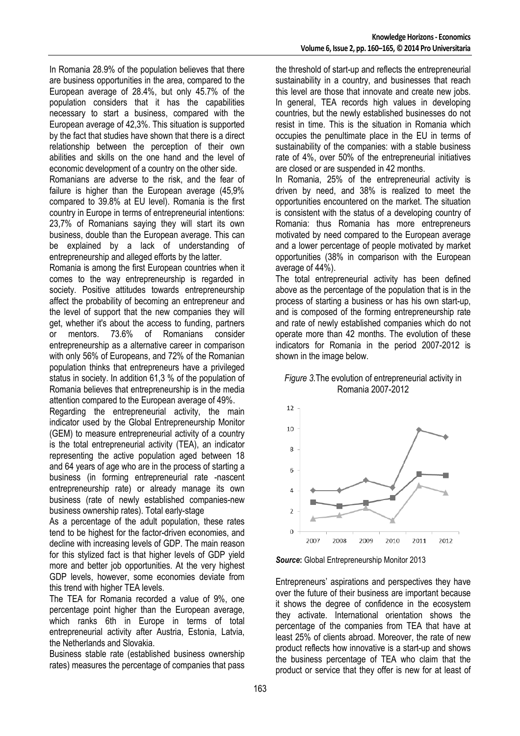In Romania 28.9% of the population believes that there are business opportunities in the area, compared to the European average of 28.4%, but only 45.7% of the population considers that it has the capabilities necessary to start a business, compared with the European average of 42,3%. This situation is supported by the fact that studies have shown that there is a direct relationship between the perception of their own abilities and skills on the one hand and the level of economic development of a country on the other side.

Romanians are adverse to the risk, and the fear of failure is higher than the European average (45,9% compared to 39.8% at EU level). Romania is the first country in Europe in terms of entrepreneurial intentions: 23,7% of Romanians saying they will start its own business, double than the European average. This can be explained by a lack of understanding of entrepreneurship and alleged efforts by the latter.

Romania is among the first European countries when it comes to the way entrepreneurship is regarded in society. Positive attitudes towards entrepreneurship affect the probability of becoming an entrepreneur and the level of support that the new companies they will get, whether it's about the access to funding, partners or mentors. 73.6% of Romanians consider entrepreneurship as a alternative career in comparison with only 56% of Europeans, and 72% of the Romanian population thinks that entrepreneurs have a privileged status in society. In addition 61,3 % of the population of Romania believes that entrepreneurship is in the media attention compared to the European average of 49%.

Regarding the entrepreneurial activity, the main indicator used by the Global Entrepreneurship Monitor (GEM) to measure entrepreneurial activity of a country is the total entrepreneurial activity (TEA), an indicator representing the active population aged between 18 and 64 years of age who are in the process of starting a business (in forming entrepreneurial rate -nascent entrepreneurship rate) or already manage its own business (rate of newly established companies-new business ownership rates). Total early-stage

As a percentage of the adult population, these rates tend to be highest for the factor-driven economies, and decline with increasing levels of GDP. The main reason for this stylized fact is that higher levels of GDP yield more and better job opportunities. At the very highest GDP levels, however, some economies deviate from this trend with higher TEA levels.

The TEA for Romania recorded a value of 9%, one percentage point higher than the European average, which ranks 6th in Europe in terms of total entrepreneurial activity after Austria, Estonia, Latvia, the Netherlands and Slovakia.

Business stable rate (established business ownership rates) measures the percentage of companies that pass the threshold of start-up and reflects the entrepreneurial sustainability in a country, and businesses that reach this level are those that innovate and create new jobs. In general, TEA records high values in developing countries, but the newly established businesses do not resist in time. This is the situation in Romania which occupies the penultimate place in the EU in terms of sustainability of the companies: with a stable business rate of 4%, over 50% of the entrepreneurial initiatives are closed or are suspended in 42 months.

In Romania, 25% of the entrepreneurial activity is driven by need, and 38% is realized to meet the opportunities encountered on the market. The situation is consistent with the status of a developing country of Romania: thus Romania has more entrepreneurs motivated by need compared to the European average and a lower percentage of people motivated by market opportunities (38% in comparison with the European average of 44%).

The total entrepreneurial activity has been defined above as the percentage of the population that is in the process of starting a business or has his own start-up, and is composed of the forming entrepreneurship rate and rate of newly established companies which do not operate more than 42 months. The evolution of these indicators for Romania in the period 2007-2012 is shown in the image below.

#### *Figure 3.*The evolution of entrepreneurial activity in Romania 2007-2012



*Source***:** Global Entrepreneurship Monitor 2013

Entrepreneurs' aspirations and perspectives they have over the future of their business are important because it shows the degree of confidence in the ecosystem they activate. International orientation shows the percentage of the companies from TEA that have at least 25% of clients abroad. Moreover, the rate of new product reflects how innovative is a start-up and shows the business percentage of TEA who claim that the product or service that they offer is new for at least of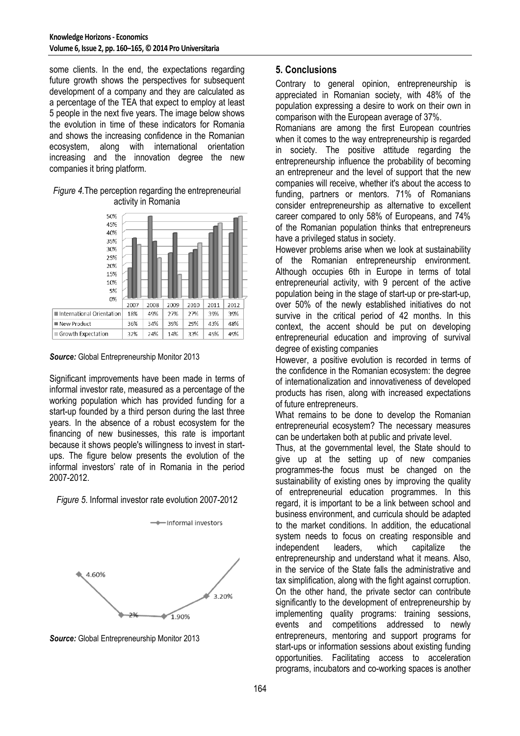some clients. In the end, the expectations regarding future growth shows the perspectives for subsequent development of a company and they are calculated as a percentage of the TEA that expect to employ at least 5 people in the next five years. The image below shows the evolution in time of these indicators for Romania and shows the increasing confidence in the Romanian ecosystem, along with international orientation increasing and the innovation degree the new companies it bring platform.

#### *Figure 4.*The perception regarding the entrepreneurial activity in Romania



#### *Source:* Global Entrepreneurship Monitor 2013

Significant improvements have been made in terms of informal investor rate, measured as a percentage of the working population which has provided funding for a start-up founded by a third person during the last three years. In the absence of a robust ecosystem for the financing of new businesses, this rate is important because it shows people's willingness to invest in startups. The figure below presents the evolution of the informal investors' rate of in Romania in the period 2007-2012.

## *Figure 5*. Informal investor rate evolution 2007-2012



-+ Informal investors

*Source:* Global Entrepreneurship Monitor 2013

## **5. Conclusions**

Contrary to general opinion, entrepreneurship is appreciated in Romanian society, with 48% of the population expressing a desire to work on their own in comparison with the European average of 37%.

Romanians are among the first European countries when it comes to the way entrepreneurship is regarded in society. The positive attitude regarding the entrepreneurship influence the probability of becoming an entrepreneur and the level of support that the new companies will receive, whether it's about the access to funding, partners or mentors. 71% of Romanians consider entrepreneurship as alternative to excellent career compared to only 58% of Europeans, and 74% of the Romanian population thinks that entrepreneurs have a privileged status in society.

However problems arise when we look at sustainability of the Romanian entrepreneurship environment. Although occupies 6th in Europe in terms of total entrepreneurial activity, with 9 percent of the active population being in the stage of start-up or pre-start-up, over 50% of the newly established initiatives do not survive in the critical period of 42 months. In this context, the accent should be put on developing entrepreneurial education and improving of survival degree of existing companies

However, a positive evolution is recorded in terms of the confidence in the Romanian ecosystem: the degree of internationalization and innovativeness of developed products has risen, along with increased expectations of future entrepreneurs.

What remains to be done to develop the Romanian entrepreneurial ecosystem? The necessary measures can be undertaken both at public and private level.

Thus, at the governmental level, the State should to give up at the setting up of new companies programmes-the focus must be changed on the sustainability of existing ones by improving the quality of entrepreneurial education programmes. In this regard, it is important to be a link between school and business environment, and curricula should be adapted to the market conditions. In addition, the educational system needs to focus on creating responsible and independent leaders, which capitalize the entrepreneurship and understand what it means. Also, in the service of the State falls the administrative and tax simplification, along with the fight against corruption. On the other hand, the private sector can contribute significantly to the development of entrepreneurship by implementing quality programs: training sessions, events and competitions addressed to newly entrepreneurs, mentoring and support programs for start-ups or information sessions about existing funding opportunities. Facilitating access to acceleration programs, incubators and co-working spaces is another